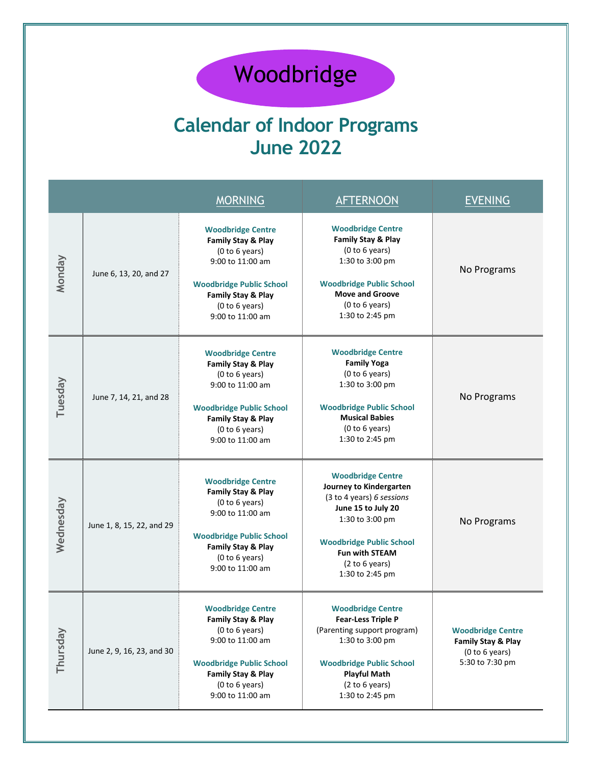## Woodbridge

## **Calendar of Indoor Programs June 2022**

|           |                           | <b>MORNING</b>                                                                                                                                                                                 | <b>AFTERNOON</b>                                                                                                                                                                                                           | <b>EVENING</b>                                                                      |
|-----------|---------------------------|------------------------------------------------------------------------------------------------------------------------------------------------------------------------------------------------|----------------------------------------------------------------------------------------------------------------------------------------------------------------------------------------------------------------------------|-------------------------------------------------------------------------------------|
| Monday    | June 6, 13, 20, and 27    | <b>Woodbridge Centre</b><br>Family Stay & Play<br>(0 to 6 years)<br>9:00 to 11:00 am<br><b>Woodbridge Public School</b><br>Family Stay & Play<br>(0 to 6 years)<br>9:00 to 11:00 am            | <b>Woodbridge Centre</b><br>Family Stay & Play<br>(0 to 6 years)<br>1:30 to 3:00 pm<br><b>Woodbridge Public School</b><br><b>Move and Groove</b><br>(0 to 6 years)<br>1:30 to 2:45 pm                                      | No Programs                                                                         |
| Tuesday   | June 7, 14, 21, and 28    | <b>Woodbridge Centre</b><br>Family Stay & Play<br>(0 to 6 years)<br>9:00 to 11:00 am<br><b>Woodbridge Public School</b><br>Family Stay & Play<br>(0 to 6 years)<br>9:00 to 11:00 am            | <b>Woodbridge Centre</b><br><b>Family Yoga</b><br>(0 to 6 years)<br>1:30 to 3:00 pm<br><b>Woodbridge Public School</b><br><b>Musical Babies</b><br>(0 to 6 years)<br>1:30 to 2:45 pm                                       | No Programs                                                                         |
| Wednesday | June 1, 8, 15, 22, and 29 | <b>Woodbridge Centre</b><br>Family Stay & Play<br>(0 to 6 years)<br>9:00 to 11:00 am<br><b>Woodbridge Public School</b><br>Family Stay & Play<br>(0 to 6 years)<br>9:00 to 11:00 am            | <b>Woodbridge Centre</b><br>Journey to Kindergarten<br>(3 to 4 years) 6 sessions<br>June 15 to July 20<br>1:30 to 3:00 pm<br><b>Woodbridge Public School</b><br><b>Fun with STEAM</b><br>(2 to 6 years)<br>1:30 to 2:45 pm | No Programs                                                                         |
| Thursday  | June 2, 9, 16, 23, and 30 | <b>Woodbridge Centre</b><br><b>Family Stay &amp; Play</b><br>(0 to 6 years)<br>9:00 to 11:00 am<br><b>Woodbridge Public School</b><br>Family Stay & Play<br>(0 to 6 years)<br>9:00 to 11:00 am | <b>Woodbridge Centre</b><br><b>Fear-Less Triple P</b><br>(Parenting support program)<br>1:30 to 3:00 pm<br><b>Woodbridge Public School</b><br><b>Playful Math</b><br>(2 to 6 years)<br>1:30 to 2:45 pm                     | <b>Woodbridge Centre</b><br>Family Stay & Play<br>(0 to 6 years)<br>5:30 to 7:30 pm |